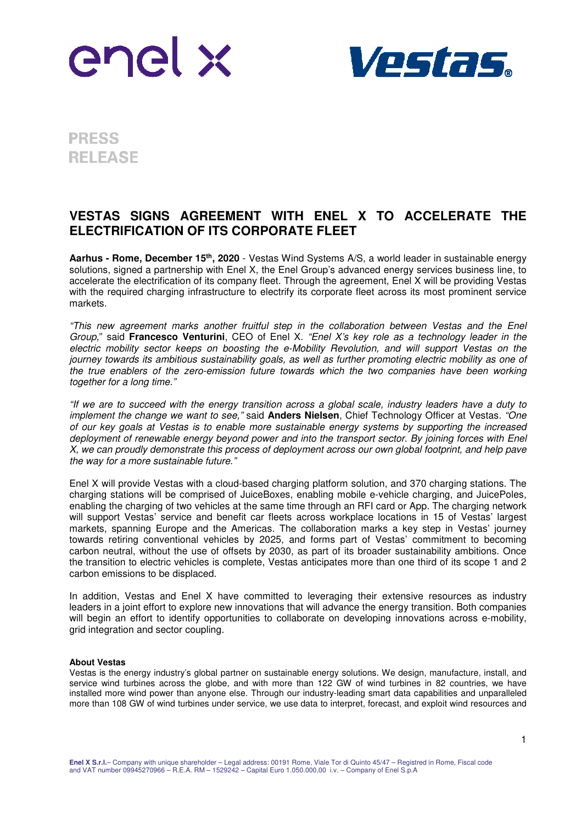



**PRESS RELEASE** 

## **VESTAS SIGNS AGREEMENT WITH ENEL X TO ACCELERATE THE ELECTRIFICATION OF ITS CORPORATE FLEET**

**Aarhus - Rome, December 15th , 2020** - Vestas Wind Systems A/S, a world leader in sustainable energy solutions, signed a partnership with Enel X, the Enel Group's advanced energy services business line, to accelerate the electrification of its company fleet. Through the agreement, Enel X will be providing Vestas with the required charging infrastructure to electrify its corporate fleet across its most prominent service markets.

"This new agreement marks another fruitful step in the collaboration between Vestas and the Enel Group," said **Francesco Venturini**, CEO of Enel X. "Enel X's key role as a technology leader in the electric mobility sector keeps on boosting the e-Mobility Revolution, and will support Vestas on the journey towards its ambitious sustainability goals, as well as further promoting electric mobility as one of the true enablers of the zero-emission future towards which the two companies have been working together for a long time."

"If we are to succeed with the energy transition across a global scale, industry leaders have a duty to implement the change we want to see," said **Anders Nielsen**, Chief Technology Officer at Vestas. "One of our key goals at Vestas is to enable more sustainable energy systems by supporting the increased deployment of renewable energy beyond power and into the transport sector. By joining forces with Enel X, we can proudly demonstrate this process of deployment across our own global footprint, and help pave the way for a more sustainable future."

Enel X will provide Vestas with a cloud-based charging platform solution, and 370 charging stations. The charging stations will be comprised of JuiceBoxes, enabling mobile e-vehicle charging, and JuicePoles, enabling the charging of two vehicles at the same time through an RFI card or App. The charging network will support Vestas' service and benefit car fleets across workplace locations in 15 of Vestas' largest markets, spanning Europe and the Americas. The collaboration marks a key step in Vestas' journey towards retiring conventional vehicles by 2025, and forms part of Vestas' commitment to becoming carbon neutral, without the use of offsets by 2030, as part of its broader sustainability ambitions. Once the transition to electric vehicles is complete, Vestas anticipates more than one third of its scope 1 and 2 carbon emissions to be displaced.

In addition, Vestas and Enel X have committed to leveraging their extensive resources as industry leaders in a joint effort to explore new innovations that will advance the energy transition. Both companies will begin an effort to identify opportunities to collaborate on developing innovations across e-mobility, grid integration and sector coupling.

## **About Vestas**

Vestas is the energy industry's global partner on sustainable energy solutions. We design, manufacture, install, and service wind turbines across the globe, and with more than 122 GW of wind turbines in 82 countries, we have installed more wind power than anyone else. Through our industry-leading smart data capabilities and unparalleled more than 108 GW of wind turbines under service, we use data to interpret, forecast, and exploit wind resources and